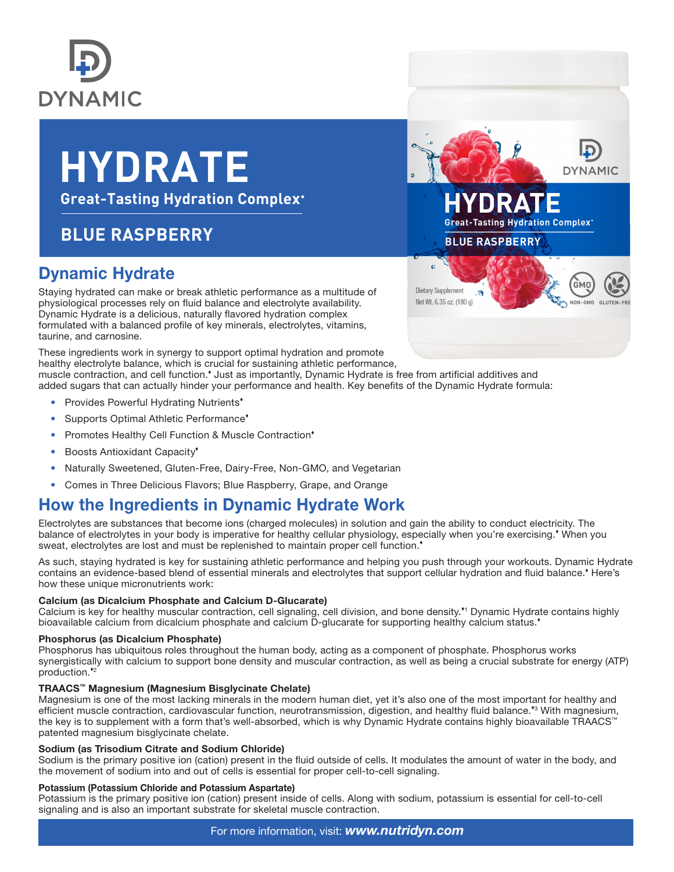

# **HYDRATE**

**Great-Tasting Hydration Complex\*** 

# **BLUE RASPBERRY**

## Dynamic Hydrate

Staying hydrated can make or break athletic performance as a multitude of physiological processes rely on fluid balance and electrolyte availability. Dynamic Hydrate is a delicious, naturally flavored hydration complex formulated with a balanced profile of key minerals, electrolytes, vitamins, taurine, and carnosine.

These ingredients work in synergy to support optimal hydration and promote healthy electrolyte balance, which is crucial for sustaining athletic performance, muscle contraction, and cell function.<sup>\*</sup> Just as importantly, Dynamic Hydrate is free from artificial additives and added sugars that can actually hinder your performance and health. Key benefits of the Dynamic Hydrate formula:

- Provides Powerful Hydrating Nutrients<sup>\*</sup>
- Supports Optimal Athletic Performance<sup>\*</sup>
- Promotes Healthy Cell Function & Muscle Contraction<sup>\*</sup>
- Boosts Antioxidant Capacity\*
- Naturally Sweetened, Gluten-Free, Dairy-Free, Non-GMO, and Vegetarian
- Comes in Three Delicious Flavors; Blue Raspberry, Grape, and Orange

### How the Ingredients in Dynamic Hydrate Work

Electrolytes are substances that become ions (charged molecules) in solution and gain the ability to conduct electricity. The balance of electrolytes in your body is imperative for healthy cellular physiology, especially when you're exercising. When you sweat, electrolytes are lost and must be replenished to maintain proper cell function.

As such, staying hydrated is key for sustaining athletic performance and helping you push through your workouts. Dynamic Hydrate contains an evidence-based blend of essential minerals and electrolytes that support cellular hydration and fluid balance. Here's how these unique micronutrients work:

#### Calcium (as Dicalcium Phosphate and Calcium D-Glucarate)

Calcium is key for healthy muscular contraction, cell signaling, cell division, and bone density.\*1 Dynamic Hydrate contains highly bioavailable calcium from dicalcium phosphate and calcium D-glucarate for supporting healthy calcium status.

#### Phosphorus (as Dicalcium Phosphate)

Phosphorus has ubiquitous roles throughout the human body, acting as a component of phosphate. Phosphorus works synergistically with calcium to support bone density and muscular contraction, as well as being a crucial substrate for energy (ATP) production.<sup>\*2</sup>

#### TRAACS™ Magnesium (Magnesium Bisglycinate Chelate)

Magnesium is one of the most lacking minerals in the modern human diet, yet it's also one of the most important for healthy and efficient muscle contraction, cardiovascular function, neurotransmission, digestion, and healthy fluid balance.\*<sup>3</sup> With magnesium, the key is to supplement with a form that's well-absorbed, which is why Dynamic Hydrate contains highly bioavailable TRAACS™ patented magnesium bisglycinate chelate.

#### Sodium (as Trisodium Citrate and Sodium Chloride)

Sodium is the primary positive ion (cation) present in the fluid outside of cells. It modulates the amount of water in the body, and the movement of sodium into and out of cells is essential for proper cell-to-cell signaling.

#### Potassium (Potassium Chloride and Potassium Aspartate)

Potassium is the primary positive ion (cation) present inside of cells. Along with sodium, potassium is essential for cell-to-cell signaling and is also an important substrate for skeletal muscle contraction.



#### For more information, visit: *www.nutridyn.com*